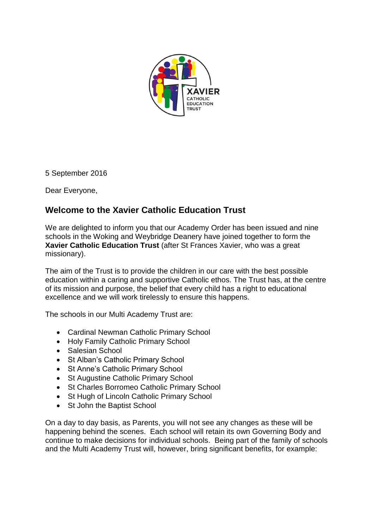

5 September 2016

Dear Everyone,

## **Welcome to the Xavier Catholic Education Trust**

We are delighted to inform you that our Academy Order has been issued and nine schools in the Woking and Weybridge Deanery have joined together to form the **Xavier Catholic Education Trust** (after St Frances Xavier, who was a great missionary).

The aim of the Trust is to provide the children in our care with the best possible education within a caring and supportive Catholic ethos. The Trust has, at the centre of its mission and purpose, the belief that every child has a right to educational excellence and we will work tirelessly to ensure this happens.

The schools in our Multi Academy Trust are:

- Cardinal Newman Catholic Primary School
- Holy Family Catholic Primary School
- Salesian School
- St Alban's Catholic Primary School
- St Anne's Catholic Primary School
- St Augustine Catholic Primary School
- St Charles Borromeo Catholic Primary School
- St Hugh of Lincoln Catholic Primary School
- St John the Baptist School

On a day to day basis, as Parents, you will not see any changes as these will be happening behind the scenes. Each school will retain its own Governing Body and continue to make decisions for individual schools. Being part of the family of schools and the Multi Academy Trust will, however, bring significant benefits, for example: